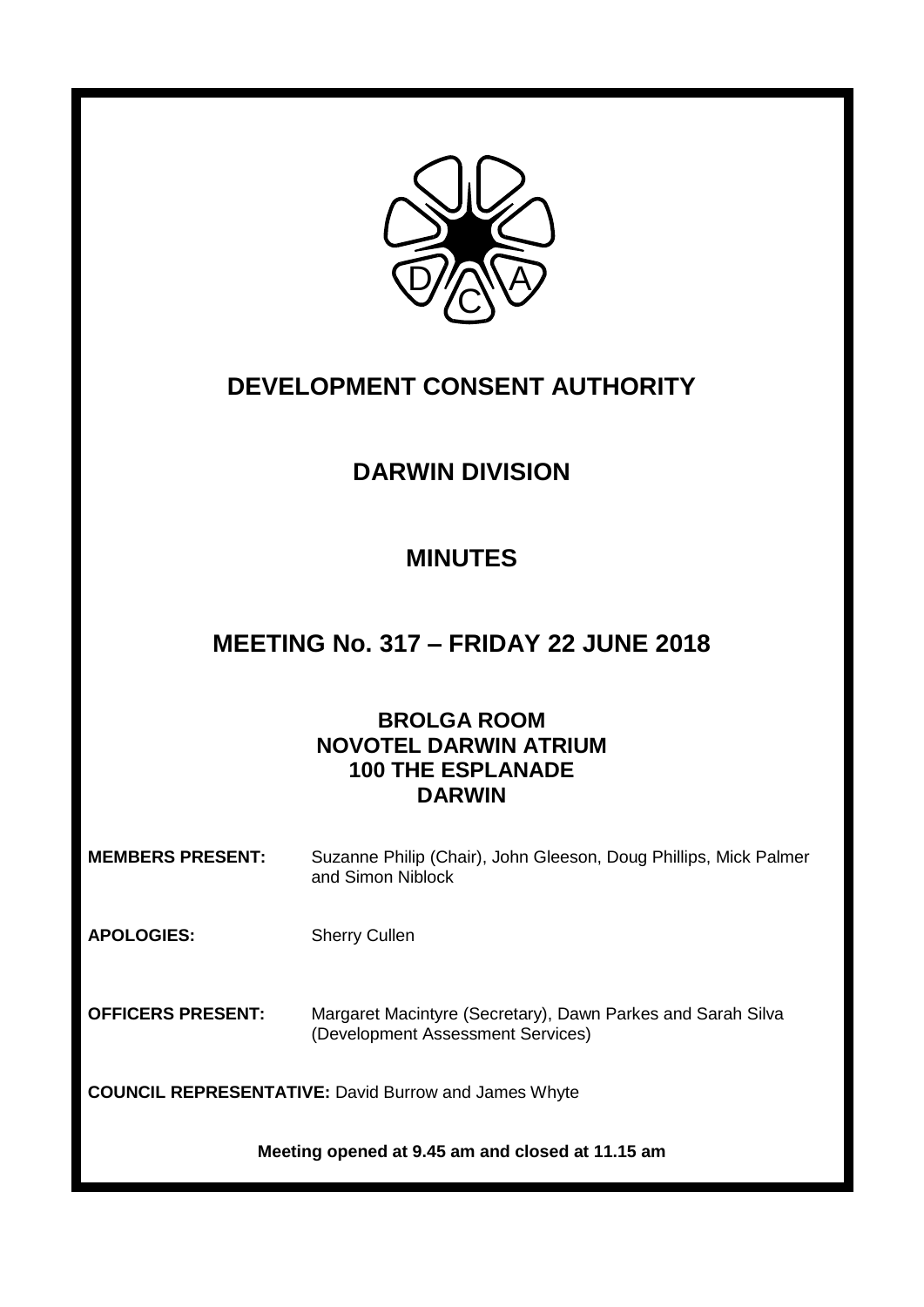

# **DEVELOPMENT CONSENT AUTHORITY**

## **DARWIN DIVISION**

## **MINUTES**

## **MEETING No. 317 – FRIDAY 22 JUNE 2018**

## **BROLGA ROOM NOVOTEL DARWIN ATRIUM 100 THE ESPLANADE DARWIN**

**MEMBERS PRESENT:** Suzanne Philip (Chair), John Gleeson, Doug Phillips, Mick Palmer and Simon Niblock

**APOLOGIES:** Sherry Cullen

**OFFICERS PRESENT:** Margaret Macintyre (Secretary), Dawn Parkes and Sarah Silva (Development Assessment Services)

**COUNCIL REPRESENTATIVE:** David Burrow and James Whyte

**Meeting opened at 9.45 am and closed at 11.15 am**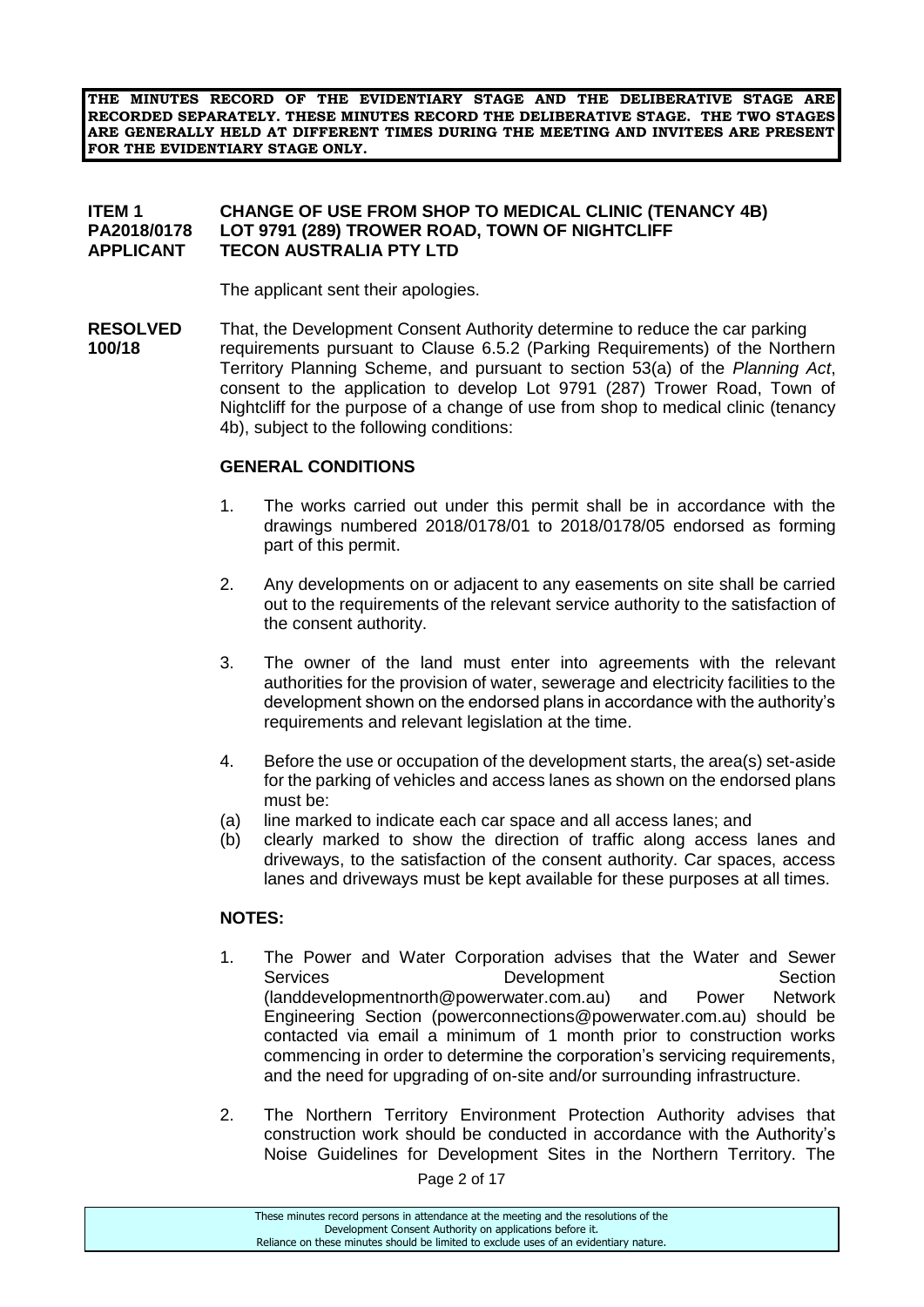**THE MINUTES RECORD OF THE EVIDENTIARY STAGE AND THE DELIBERATIVE STAGE ARE RECORDED SEPARATELY. THESE MINUTES RECORD THE DELIBERATIVE STAGE. THE TWO STAGES ARE GENERALLY HELD AT DIFFERENT TIMES DURING THE MEETING AND INVITEES ARE PRESENT FOR THE EVIDENTIARY STAGE ONLY.**

## **ITEM 1 CHANGE OF USE FROM SHOP TO MEDICAL CLINIC (TENANCY 4B) PA2018/0178 LOT 9791 (289) TROWER ROAD, TOWN OF NIGHTCLIFF APPLICANT TECON AUSTRALIA PTY LTD**

The applicant sent their apologies.

**RESOLVED** That, the Development Consent Authority determine to reduce the car parking **100/18** requirements pursuant to Clause 6.5.2 (Parking Requirements) of the Northern Territory Planning Scheme, and pursuant to section 53(a) of the *Planning Act*, consent to the application to develop Lot 9791 (287) Trower Road, Town of Nightcliff for the purpose of a change of use from shop to medical clinic (tenancy 4b), subject to the following conditions:

### **GENERAL CONDITIONS**

- 1. The works carried out under this permit shall be in accordance with the drawings numbered 2018/0178/01 to 2018/0178/05 endorsed as forming part of this permit.
- 2. Any developments on or adjacent to any easements on site shall be carried out to the requirements of the relevant service authority to the satisfaction of the consent authority.
- 3. The owner of the land must enter into agreements with the relevant authorities for the provision of water, sewerage and electricity facilities to the development shown on the endorsed plans in accordance with the authority's requirements and relevant legislation at the time.
- 4. Before the use or occupation of the development starts, the area(s) set-aside for the parking of vehicles and access lanes as shown on the endorsed plans must be:
- (a) line marked to indicate each car space and all access lanes; and
- (b) clearly marked to show the direction of traffic along access lanes and driveways, to the satisfaction of the consent authority. Car spaces, access lanes and driveways must be kept available for these purposes at all times.

### **NOTES:**

- 1. The Power and Water Corporation advises that the Water and Sewer Services **Development** Development Section (landdevelopmentnorth@powerwater.com.au) and Power Network Engineering Section (powerconnections@powerwater.com.au) should be contacted via email a minimum of 1 month prior to construction works commencing in order to determine the corporation's servicing requirements, and the need for upgrading of on-site and/or surrounding infrastructure.
- 2. The Northern Territory Environment Protection Authority advises that construction work should be conducted in accordance with the Authority's Noise Guidelines for Development Sites in the Northern Territory. The

Page 2 of 17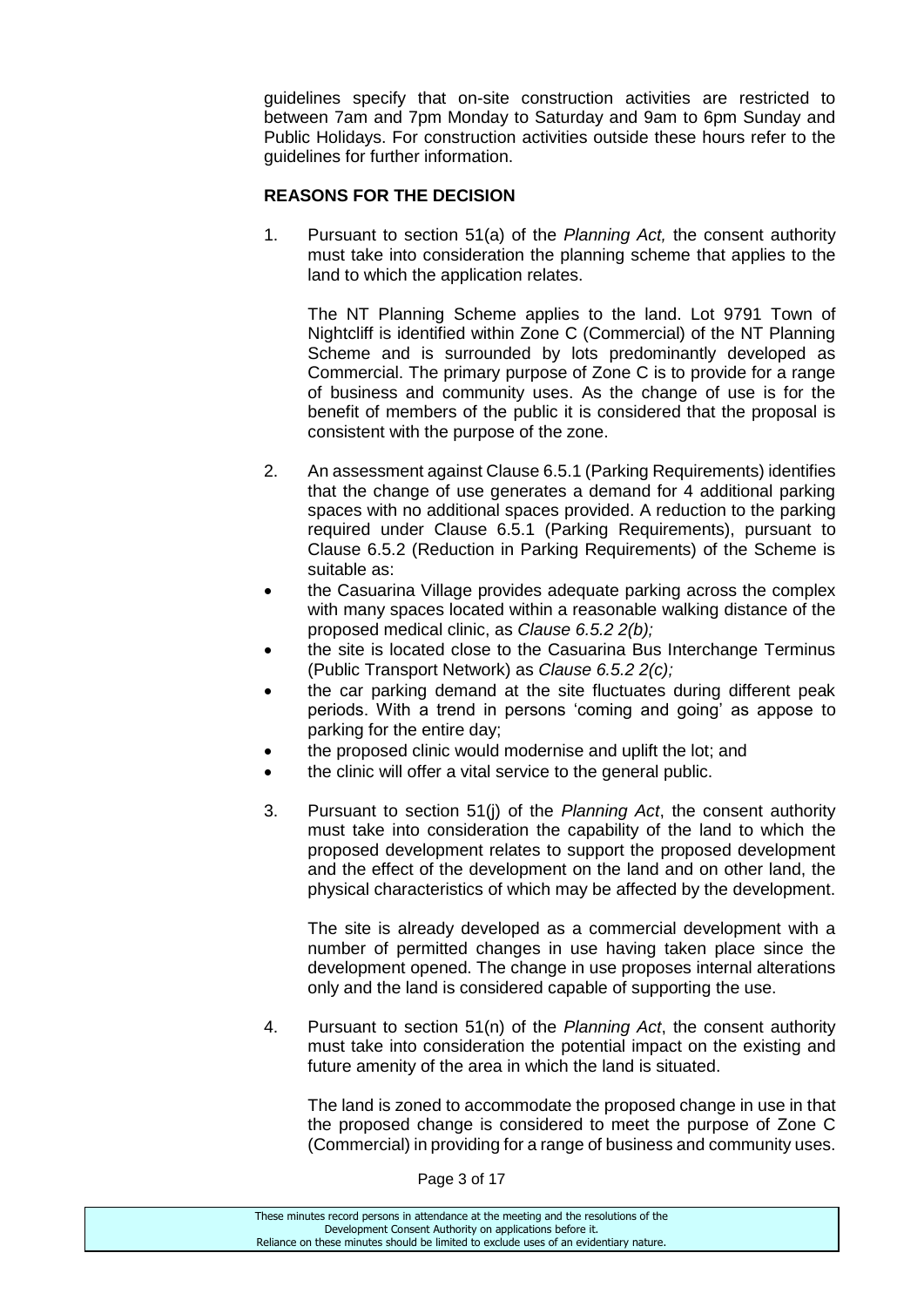guidelines specify that on-site construction activities are restricted to between 7am and 7pm Monday to Saturday and 9am to 6pm Sunday and Public Holidays. For construction activities outside these hours refer to the guidelines for further information.

## **REASONS FOR THE DECISION**

1. Pursuant to section 51(a) of the *Planning Act,* the consent authority must take into consideration the planning scheme that applies to the land to which the application relates.

The NT Planning Scheme applies to the land. Lot 9791 Town of Nightcliff is identified within Zone C (Commercial) of the NT Planning Scheme and is surrounded by lots predominantly developed as Commercial. The primary purpose of Zone C is to provide for a range of business and community uses. As the change of use is for the benefit of members of the public it is considered that the proposal is consistent with the purpose of the zone.

- 2. An assessment against Clause 6.5.1 (Parking Requirements) identifies that the change of use generates a demand for 4 additional parking spaces with no additional spaces provided. A reduction to the parking required under Clause 6.5.1 (Parking Requirements), pursuant to Clause 6.5.2 (Reduction in Parking Requirements) of the Scheme is suitable as:
- the Casuarina Village provides adequate parking across the complex with many spaces located within a reasonable walking distance of the proposed medical clinic, as *Clause 6.5.2 2(b);*
- the site is located close to the Casuarina Bus Interchange Terminus (Public Transport Network) as *Clause 6.5.2 2(c);*
- the car parking demand at the site fluctuates during different peak periods. With a trend in persons 'coming and going' as appose to parking for the entire day;
- the proposed clinic would modernise and uplift the lot; and
- the clinic will offer a vital service to the general public.
- 3. Pursuant to section 51(j) of the *Planning Act*, the consent authority must take into consideration the capability of the land to which the proposed development relates to support the proposed development and the effect of the development on the land and on other land, the physical characteristics of which may be affected by the development.

The site is already developed as a commercial development with a number of permitted changes in use having taken place since the development opened. The change in use proposes internal alterations only and the land is considered capable of supporting the use.

4. Pursuant to section 51(n) of the *Planning Act*, the consent authority must take into consideration the potential impact on the existing and future amenity of the area in which the land is situated.

The land is zoned to accommodate the proposed change in use in that the proposed change is considered to meet the purpose of Zone C (Commercial) in providing for a range of business and community uses.

Page 3 of 17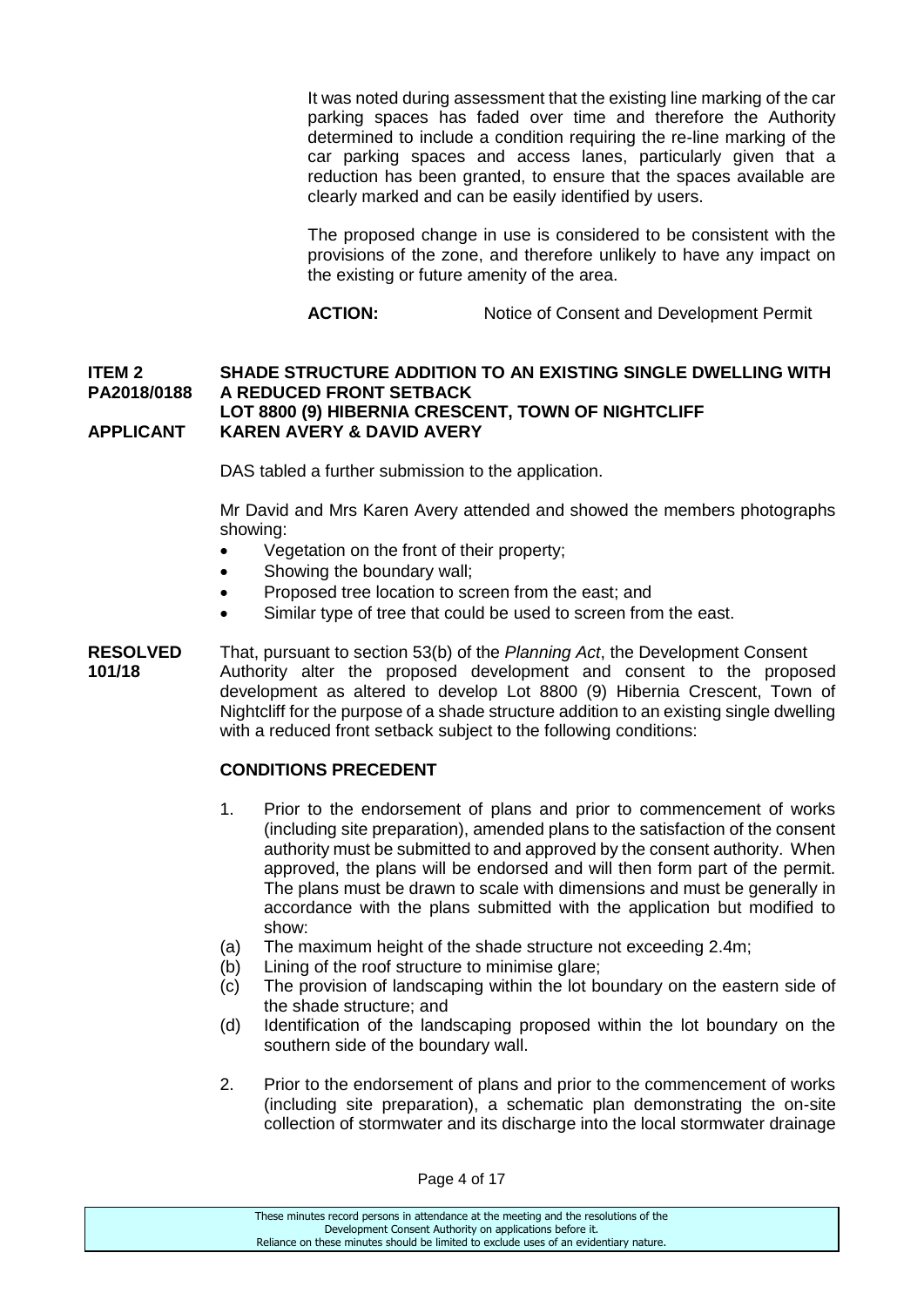It was noted during assessment that the existing line marking of the car parking spaces has faded over time and therefore the Authority determined to include a condition requiring the re-line marking of the car parking spaces and access lanes, particularly given that a reduction has been granted, to ensure that the spaces available are clearly marked and can be easily identified by users.

The proposed change in use is considered to be consistent with the provisions of the zone, and therefore unlikely to have any impact on the existing or future amenity of the area.

**ACTION:** Notice of Consent and Development Permit

### **ITEM 2 SHADE STRUCTURE ADDITION TO AN EXISTING SINGLE DWELLING WITH PA2018/0188 A REDUCED FRONT SETBACK LOT 8800 (9) HIBERNIA CRESCENT, TOWN OF NIGHTCLIFF APPLICANT KAREN AVERY & DAVID AVERY**

DAS tabled a further submission to the application.

Mr David and Mrs Karen Avery attended and showed the members photographs showing:

- Vegetation on the front of their property;
- Showing the boundary wall;
- Proposed tree location to screen from the east; and
- Similar type of tree that could be used to screen from the east.
- **RESOLVED** That, pursuant to section 53(b) of the *Planning Act*, the Development Consent **101/18** Authority alter the proposed development and consent to the proposed development as altered to develop Lot 8800 (9) Hibernia Crescent, Town of Nightcliff for the purpose of a shade structure addition to an existing single dwelling with a reduced front setback subject to the following conditions:

### **CONDITIONS PRECEDENT**

- 1. Prior to the endorsement of plans and prior to commencement of works (including site preparation), amended plans to the satisfaction of the consent authority must be submitted to and approved by the consent authority. When approved, the plans will be endorsed and will then form part of the permit. The plans must be drawn to scale with dimensions and must be generally in accordance with the plans submitted with the application but modified to show:
- (a) The maximum height of the shade structure not exceeding 2.4m;
- (b) Lining of the roof structure to minimise glare;
- (c) The provision of landscaping within the lot boundary on the eastern side of the shade structure; and
- (d) Identification of the landscaping proposed within the lot boundary on the southern side of the boundary wall.
- 2. Prior to the endorsement of plans and prior to the commencement of works (including site preparation), a schematic plan demonstrating the on-site collection of stormwater and its discharge into the local stormwater drainage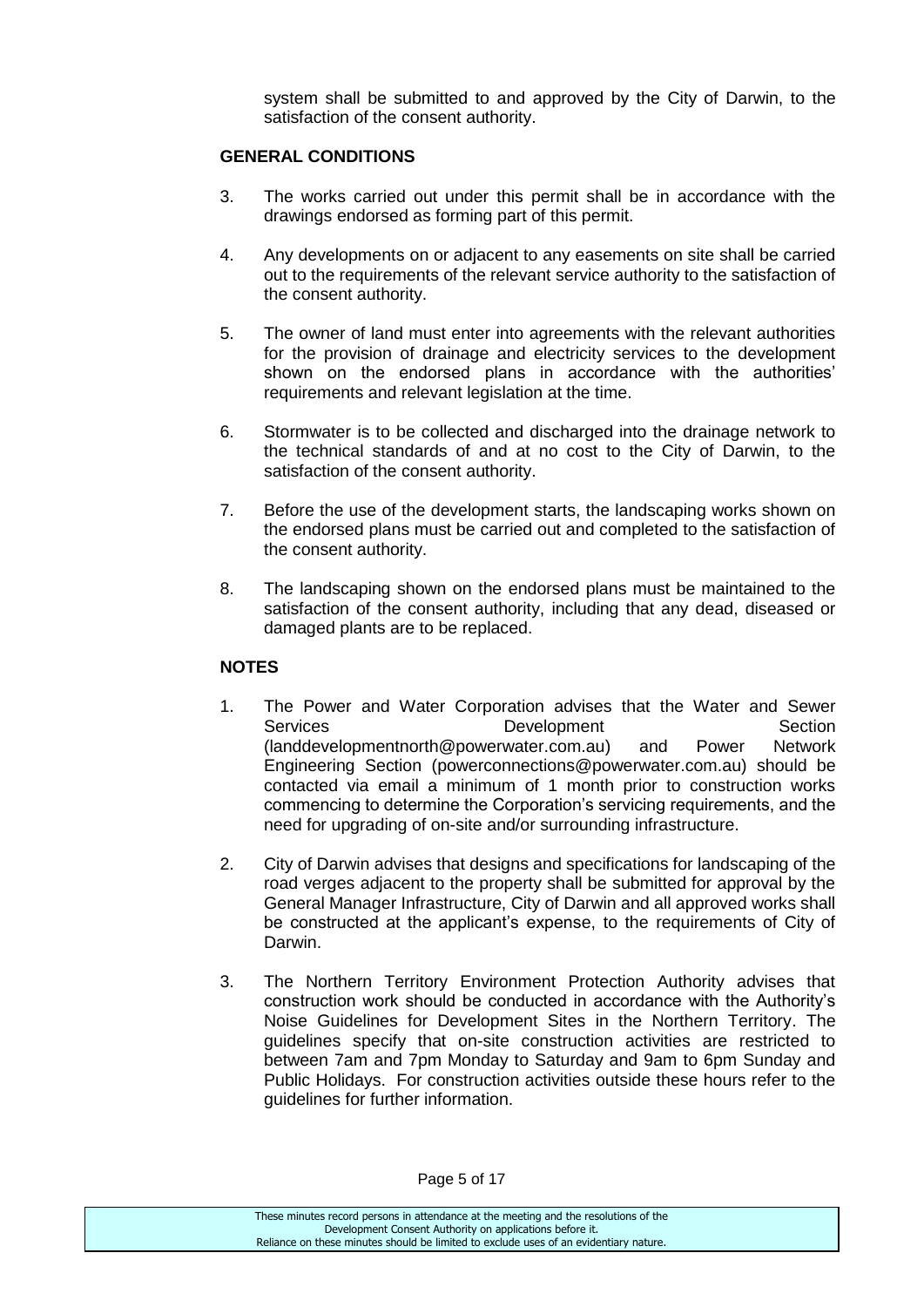system shall be submitted to and approved by the City of Darwin, to the satisfaction of the consent authority.

## **GENERAL CONDITIONS**

- 3. The works carried out under this permit shall be in accordance with the drawings endorsed as forming part of this permit.
- 4. Any developments on or adjacent to any easements on site shall be carried out to the requirements of the relevant service authority to the satisfaction of the consent authority.
- 5. The owner of land must enter into agreements with the relevant authorities for the provision of drainage and electricity services to the development shown on the endorsed plans in accordance with the authorities' requirements and relevant legislation at the time.
- 6. Stormwater is to be collected and discharged into the drainage network to the technical standards of and at no cost to the City of Darwin, to the satisfaction of the consent authority.
- 7. Before the use of the development starts, the landscaping works shown on the endorsed plans must be carried out and completed to the satisfaction of the consent authority.
- 8. The landscaping shown on the endorsed plans must be maintained to the satisfaction of the consent authority, including that any dead, diseased or damaged plants are to be replaced.

### **NOTES**

- 1. The Power and Water Corporation advises that the Water and Sewer Services **Development** Development Section [\(landdevelopmentnorth@powerwater.com.au\)](mailto:landdevelopmentnorth@powerwater.com.au) and Power Network Engineering Section [\(powerconnections@powerwater.com.au\)](mailto:powerconnections@powerwater.com.au) should be contacted via email a minimum of 1 month prior to construction works commencing to determine the Corporation's servicing requirements, and the need for upgrading of on-site and/or surrounding infrastructure.
- 2. City of Darwin advises that designs and specifications for landscaping of the road verges adjacent to the property shall be submitted for approval by the General Manager Infrastructure, City of Darwin and all approved works shall be constructed at the applicant's expense, to the requirements of City of Darwin.
- 3. The Northern Territory Environment Protection Authority advises that construction work should be conducted in accordance with the Authority's Noise Guidelines for Development Sites in the Northern Territory. The guidelines specify that on-site construction activities are restricted to between 7am and 7pm Monday to Saturday and 9am to 6pm Sunday and Public Holidays. For construction activities outside these hours refer to the guidelines for further information.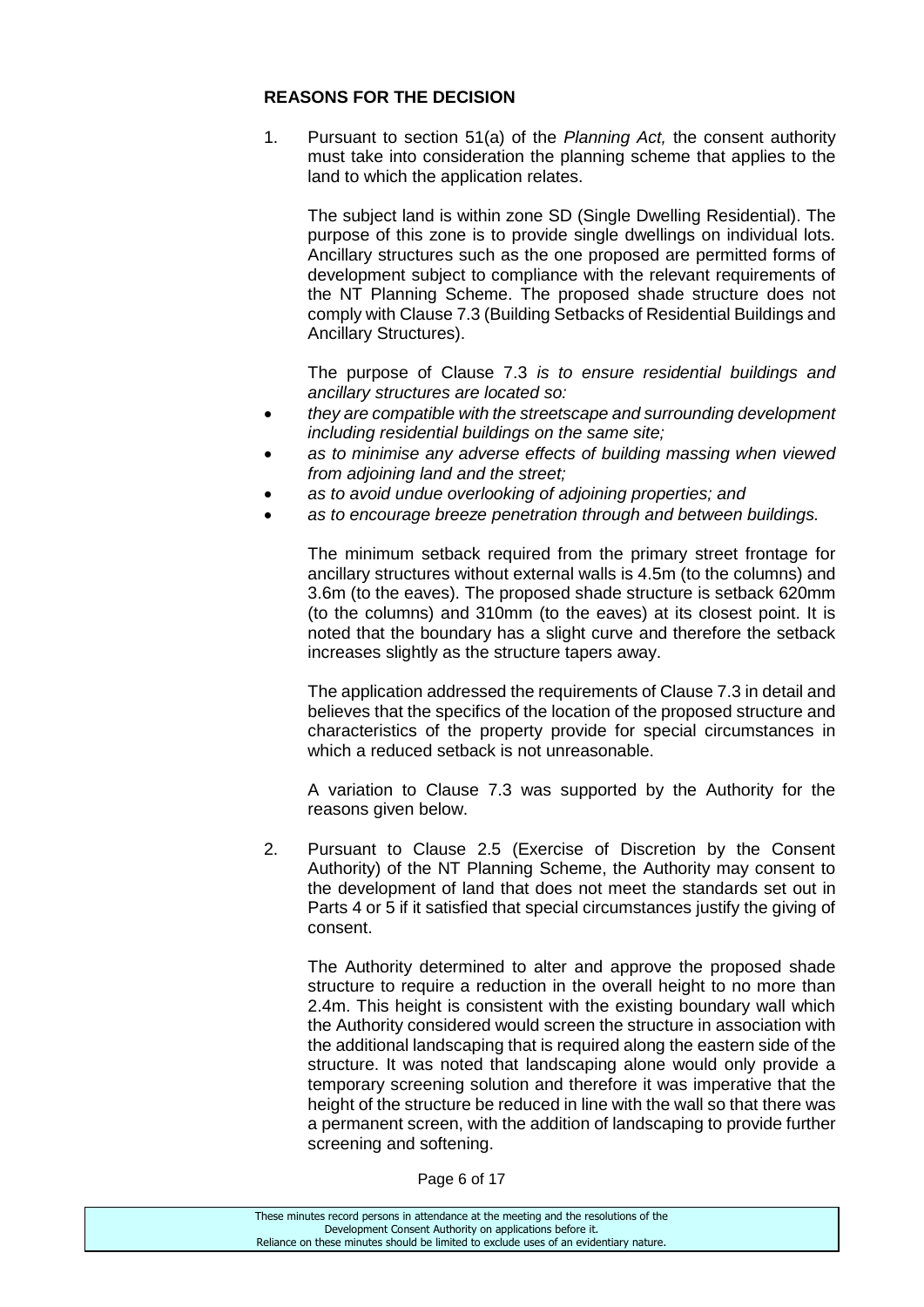## **REASONS FOR THE DECISION**

1. Pursuant to section 51(a) of the *Planning Act,* the consent authority must take into consideration the planning scheme that applies to the land to which the application relates.

The subject land is within zone SD (Single Dwelling Residential). The purpose of this zone is to provide single dwellings on individual lots. Ancillary structures such as the one proposed are permitted forms of development subject to compliance with the relevant requirements of the NT Planning Scheme. The proposed shade structure does not comply with Clause 7.3 (Building Setbacks of Residential Buildings and Ancillary Structures).

The purpose of Clause 7.3 *is to ensure residential buildings and ancillary structures are located so:*

- *they are compatible with the streetscape and surrounding development including residential buildings on the same site;*
- *as to minimise any adverse effects of building massing when viewed from adjoining land and the street;*
- *as to avoid undue overlooking of adjoining properties; and*
- *as to encourage breeze penetration through and between buildings.*

The minimum setback required from the primary street frontage for ancillary structures without external walls is 4.5m (to the columns) and 3.6m (to the eaves). The proposed shade structure is setback 620mm (to the columns) and 310mm (to the eaves) at its closest point. It is noted that the boundary has a slight curve and therefore the setback increases slightly as the structure tapers away.

The application addressed the requirements of Clause 7.3 in detail and believes that the specifics of the location of the proposed structure and characteristics of the property provide for special circumstances in which a reduced setback is not unreasonable.

A variation to Clause 7.3 was supported by the Authority for the reasons given below.

2. Pursuant to Clause 2.5 (Exercise of Discretion by the Consent Authority) of the NT Planning Scheme, the Authority may consent to the development of land that does not meet the standards set out in Parts 4 or 5 if it satisfied that special circumstances justify the giving of consent.

The Authority determined to alter and approve the proposed shade structure to require a reduction in the overall height to no more than 2.4m. This height is consistent with the existing boundary wall which the Authority considered would screen the structure in association with the additional landscaping that is required along the eastern side of the structure. It was noted that landscaping alone would only provide a temporary screening solution and therefore it was imperative that the height of the structure be reduced in line with the wall so that there was a permanent screen, with the addition of landscaping to provide further screening and softening.

Page 6 of 17

| These minutes record persons in attendance at the meeting and the resolutions of the  |
|---------------------------------------------------------------------------------------|
| Development Consent Authority on applications before it.                              |
| Reliance on these minutes should be limited to exclude uses of an evidentiary nature. |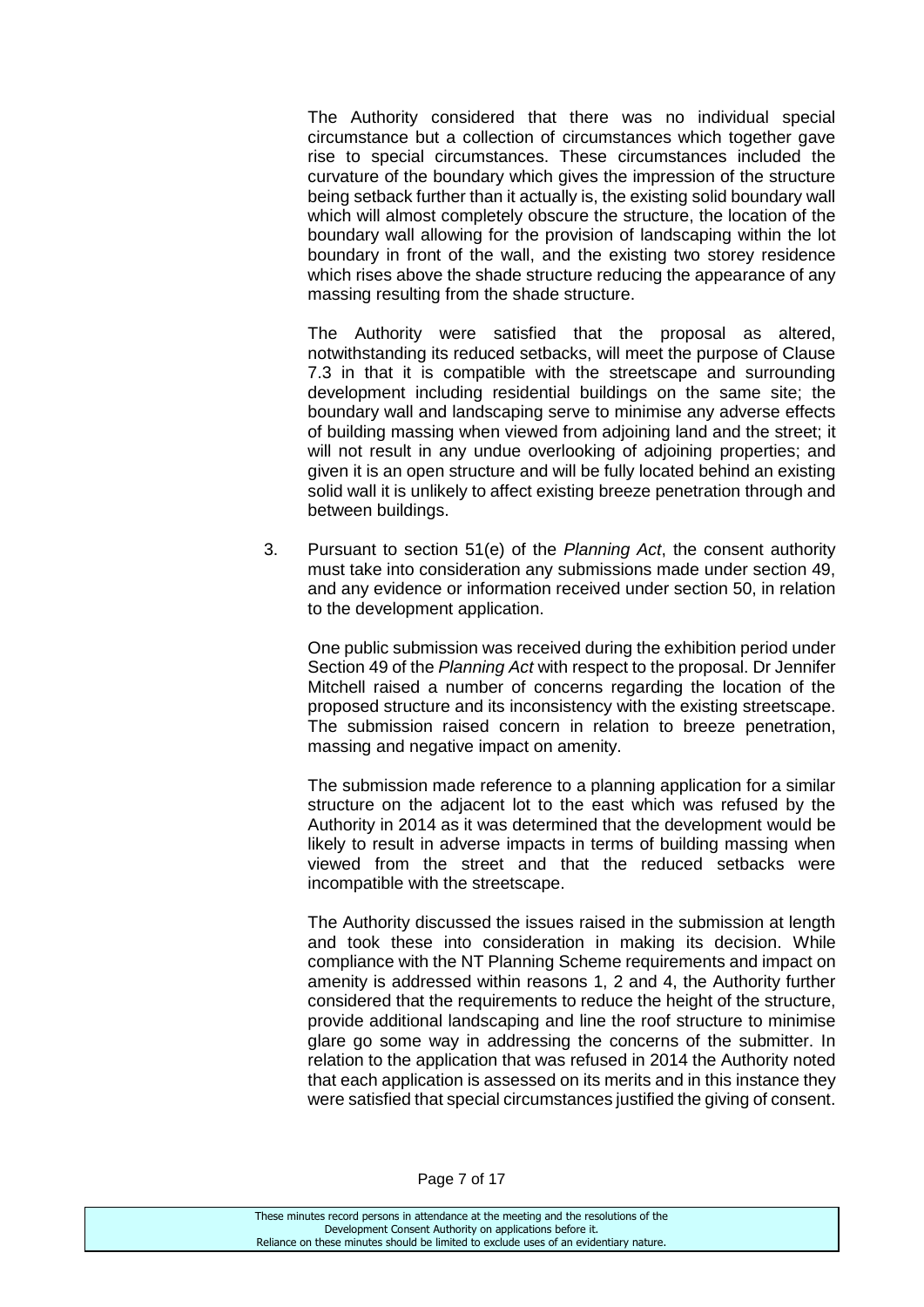The Authority considered that there was no individual special circumstance but a collection of circumstances which together gave rise to special circumstances. These circumstances included the curvature of the boundary which gives the impression of the structure being setback further than it actually is, the existing solid boundary wall which will almost completely obscure the structure, the location of the boundary wall allowing for the provision of landscaping within the lot boundary in front of the wall, and the existing two storey residence which rises above the shade structure reducing the appearance of any massing resulting from the shade structure.

The Authority were satisfied that the proposal as altered, notwithstanding its reduced setbacks, will meet the purpose of Clause 7.3 in that it is compatible with the streetscape and surrounding development including residential buildings on the same site; the boundary wall and landscaping serve to minimise any adverse effects of building massing when viewed from adjoining land and the street; it will not result in any undue overlooking of adjoining properties; and given it is an open structure and will be fully located behind an existing solid wall it is unlikely to affect existing breeze penetration through and between buildings.

3. Pursuant to section 51(e) of the *Planning Act*, the consent authority must take into consideration any submissions made under section 49, and any evidence or information received under section 50, in relation to the development application.

One public submission was received during the exhibition period under Section 49 of the *Planning Act* with respect to the proposal. Dr Jennifer Mitchell raised a number of concerns regarding the location of the proposed structure and its inconsistency with the existing streetscape. The submission raised concern in relation to breeze penetration, massing and negative impact on amenity.

The submission made reference to a planning application for a similar structure on the adjacent lot to the east which was refused by the Authority in 2014 as it was determined that the development would be likely to result in adverse impacts in terms of building massing when viewed from the street and that the reduced setbacks were incompatible with the streetscape.

The Authority discussed the issues raised in the submission at length and took these into consideration in making its decision. While compliance with the NT Planning Scheme requirements and impact on amenity is addressed within reasons 1, 2 and 4, the Authority further considered that the requirements to reduce the height of the structure, provide additional landscaping and line the roof structure to minimise glare go some way in addressing the concerns of the submitter. In relation to the application that was refused in 2014 the Authority noted that each application is assessed on its merits and in this instance they were satisfied that special circumstances justified the giving of consent.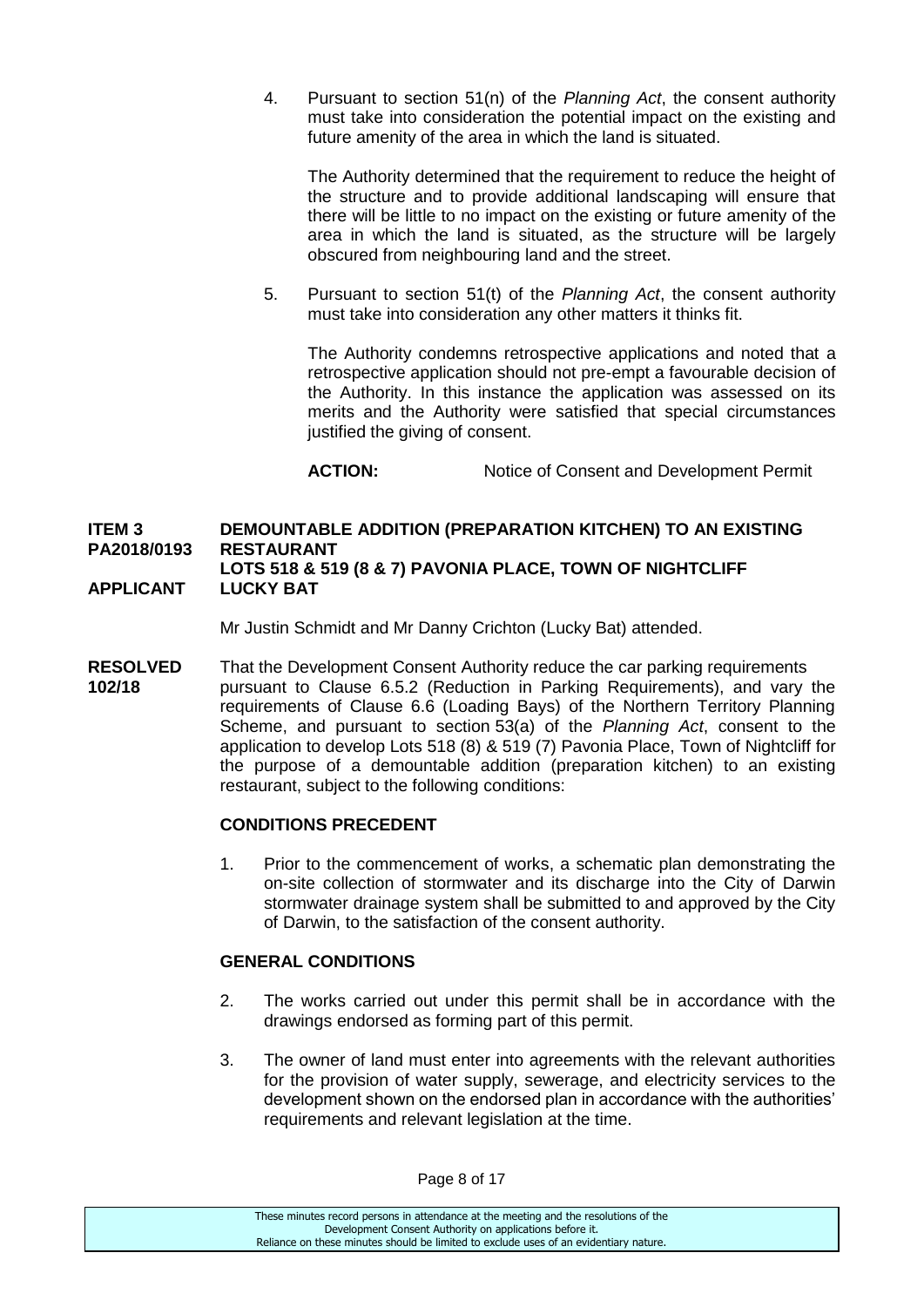4. Pursuant to section 51(n) of the *Planning Act*, the consent authority must take into consideration the potential impact on the existing and future amenity of the area in which the land is situated.

The Authority determined that the requirement to reduce the height of the structure and to provide additional landscaping will ensure that there will be little to no impact on the existing or future amenity of the area in which the land is situated, as the structure will be largely obscured from neighbouring land and the street.

5. Pursuant to section 51(t) of the *Planning Act*, the consent authority must take into consideration any other matters it thinks fit.

The Authority condemns retrospective applications and noted that a retrospective application should not pre-empt a favourable decision of the Authority. In this instance the application was assessed on its merits and the Authority were satisfied that special circumstances justified the giving of consent.

**ACTION:** Notice of Consent and Development Permit

## **ITEM 3 DEMOUNTABLE ADDITION (PREPARATION KITCHEN) TO AN EXISTING PA2018/0193 RESTAURANT LOTS 518 & 519 (8 & 7) PAVONIA PLACE, TOWN OF NIGHTCLIFF**

## **APPLICANT LUCKY BAT**

Mr Justin Schmidt and Mr Danny Crichton (Lucky Bat) attended.

**RESOLVED** That the Development Consent Authority reduce the car parking requirements **102/18** pursuant to Clause 6.5.2 (Reduction in Parking Requirements), and vary the requirements of Clause 6.6 (Loading Bays) of the Northern Territory Planning Scheme, and pursuant to section 53(a) of the *Planning Act*, consent to the application to develop Lots 518 (8) & 519 (7) Pavonia Place, Town of Nightcliff for the purpose of a demountable addition (preparation kitchen) to an existing restaurant, subject to the following conditions:

### **CONDITIONS PRECEDENT**

1. Prior to the commencement of works, a schematic plan demonstrating the on-site collection of stormwater and its discharge into the City of Darwin stormwater drainage system shall be submitted to and approved by the City of Darwin, to the satisfaction of the consent authority.

### **GENERAL CONDITIONS**

- 2. The works carried out under this permit shall be in accordance with the drawings endorsed as forming part of this permit.
- 3. The owner of land must enter into agreements with the relevant authorities for the provision of water supply, sewerage, and electricity services to the development shown on the endorsed plan in accordance with the authorities' requirements and relevant legislation at the time.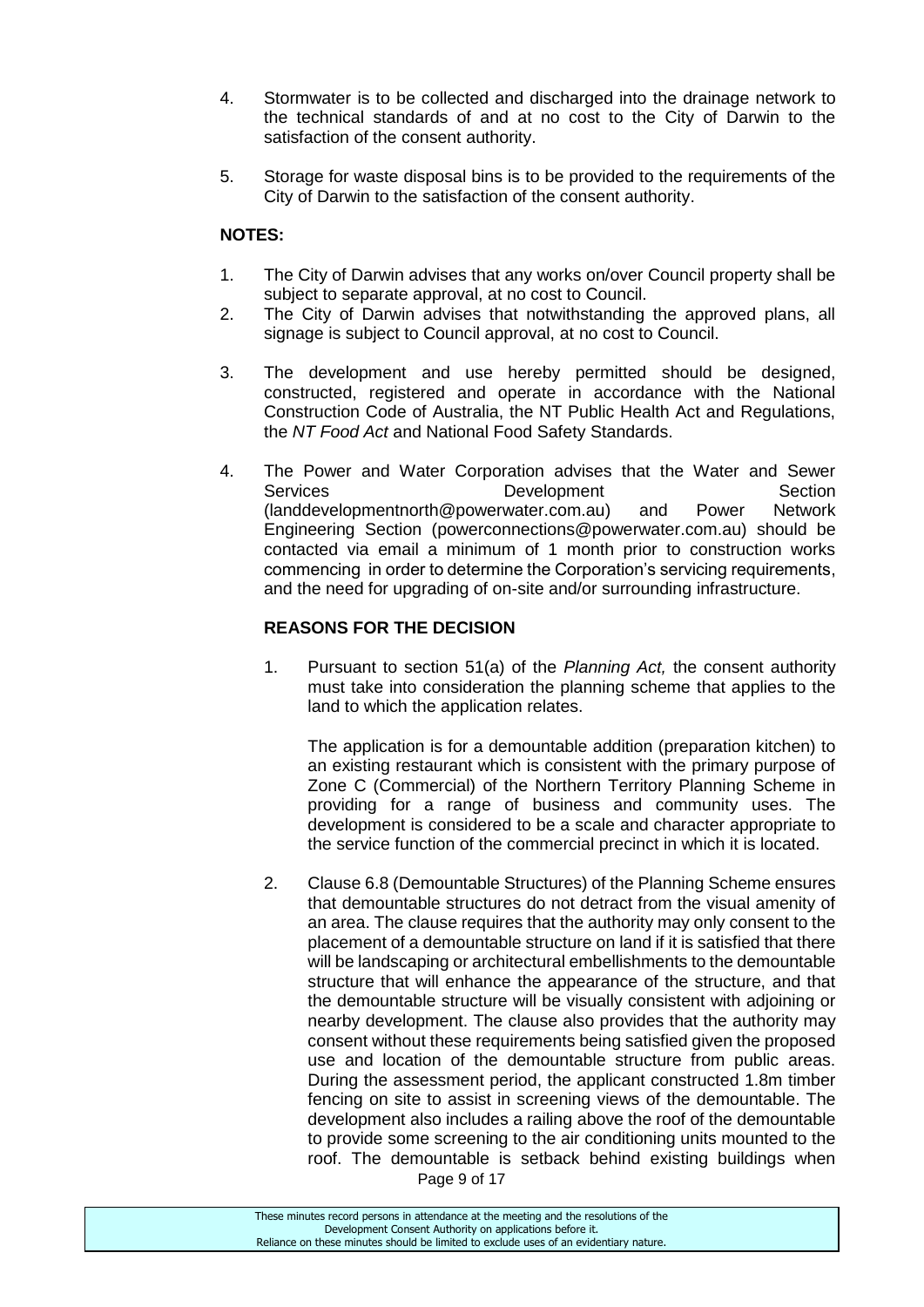- 4. Stormwater is to be collected and discharged into the drainage network to the technical standards of and at no cost to the City of Darwin to the satisfaction of the consent authority.
- 5. Storage for waste disposal bins is to be provided to the requirements of the City of Darwin to the satisfaction of the consent authority.

## **NOTES:**

- 1. The City of Darwin advises that any works on/over Council property shall be subject to separate approval, at no cost to Council.
- 2. The City of Darwin advises that notwithstanding the approved plans, all signage is subject to Council approval, at no cost to Council.
- 3. The development and use hereby permitted should be designed, constructed, registered and operate in accordance with the National Construction Code of Australia, the NT Public Health Act and Regulations, the *NT Food Act* and National Food Safety Standards.
- 4. The Power and Water Corporation advises that the Water and Sewer Services **Development** Development Section [\(landdevelopmentnorth@powerwater.com.au\)](mailto:landdevelopmentnorth@powerwater.com.au) and Power Network Engineering Section [\(powerconnections@powerwater.com.au\)](mailto:powerconnections@powerwater.com.au) should be contacted via email a minimum of 1 month prior to construction works commencing in order to determine the Corporation's servicing requirements, and the need for upgrading of on-site and/or surrounding infrastructure.

## **REASONS FOR THE DECISION**

1. Pursuant to section 51(a) of the *Planning Act,* the consent authority must take into consideration the planning scheme that applies to the land to which the application relates.

The application is for a demountable addition (preparation kitchen) to an existing restaurant which is consistent with the primary purpose of Zone C (Commercial) of the Northern Territory Planning Scheme in providing for a range of business and community uses. The development is considered to be a scale and character appropriate to the service function of the commercial precinct in which it is located.

2. Clause 6.8 (Demountable Structures) of the Planning Scheme ensures that demountable structures do not detract from the visual amenity of an area. The clause requires that the authority may only consent to the placement of a demountable structure on land if it is satisfied that there will be landscaping or architectural embellishments to the demountable structure that will enhance the appearance of the structure, and that the demountable structure will be visually consistent with adjoining or nearby development. The clause also provides that the authority may consent without these requirements being satisfied given the proposed use and location of the demountable structure from public areas. During the assessment period, the applicant constructed 1.8m timber fencing on site to assist in screening views of the demountable. The development also includes a railing above the roof of the demountable to provide some screening to the air conditioning units mounted to the roof. The demountable is setback behind existing buildings when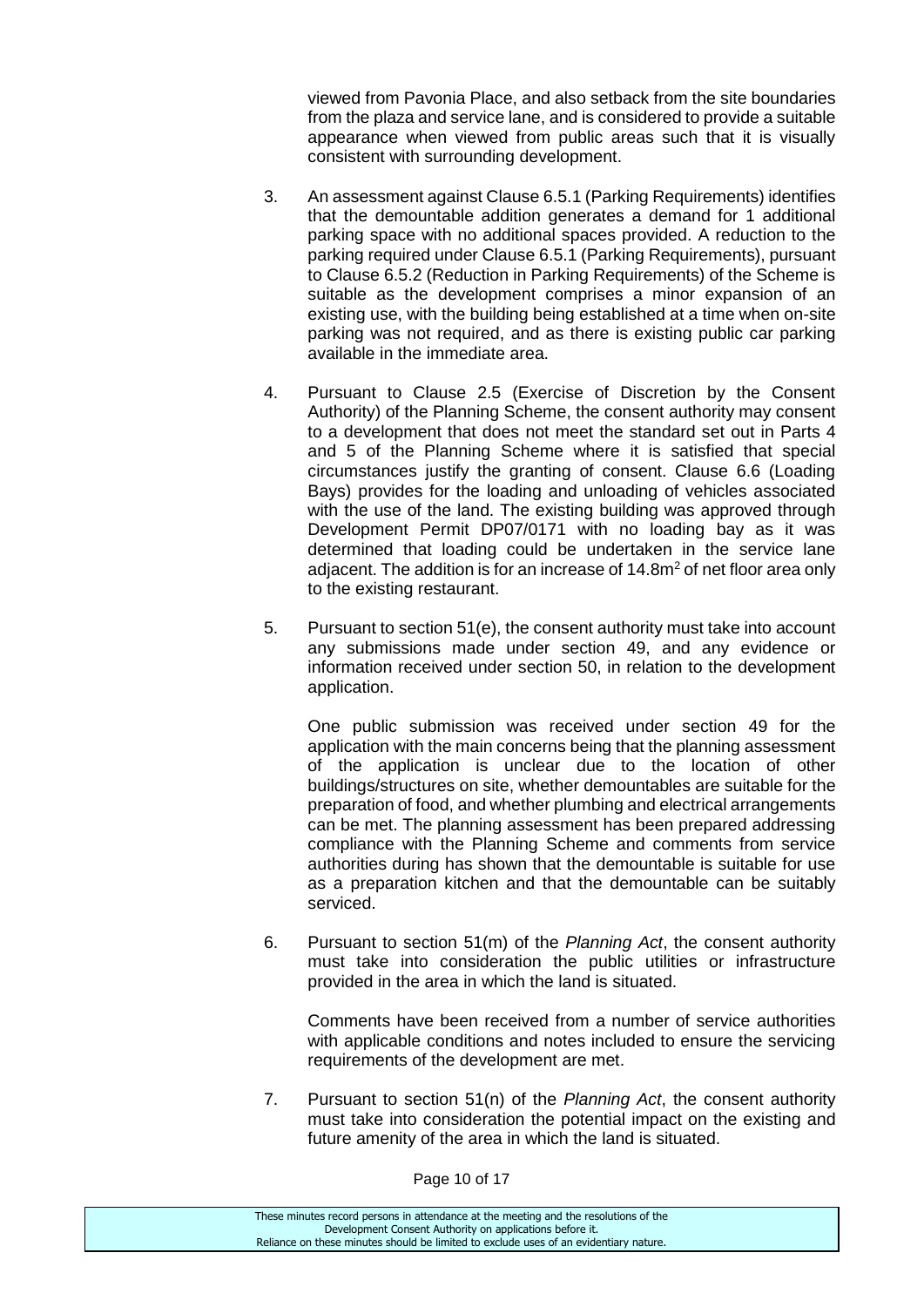viewed from Pavonia Place, and also setback from the site boundaries from the plaza and service lane, and is considered to provide a suitable appearance when viewed from public areas such that it is visually consistent with surrounding development.

- 3. An assessment against Clause 6.5.1 (Parking Requirements) identifies that the demountable addition generates a demand for 1 additional parking space with no additional spaces provided. A reduction to the parking required under Clause 6.5.1 (Parking Requirements), pursuant to Clause 6.5.2 (Reduction in Parking Requirements) of the Scheme is suitable as the development comprises a minor expansion of an existing use, with the building being established at a time when on-site parking was not required, and as there is existing public car parking available in the immediate area.
- 4. Pursuant to Clause 2.5 (Exercise of Discretion by the Consent Authority) of the Planning Scheme, the consent authority may consent to a development that does not meet the standard set out in Parts 4 and 5 of the Planning Scheme where it is satisfied that special circumstances justify the granting of consent. Clause 6.6 (Loading Bays) provides for the loading and unloading of vehicles associated with the use of the land. The existing building was approved through Development Permit DP07/0171 with no loading bay as it was determined that loading could be undertaken in the service lane adjacent. The addition is for an increase of 14.8m<sup>2</sup> of net floor area only to the existing restaurant.
- 5. Pursuant to section 51(e), the consent authority must take into account any submissions made under section 49, and any evidence or information received under section 50, in relation to the development application.

One public submission was received under section 49 for the application with the main concerns being that the planning assessment of the application is unclear due to the location of other buildings/structures on site, whether demountables are suitable for the preparation of food, and whether plumbing and electrical arrangements can be met. The planning assessment has been prepared addressing compliance with the Planning Scheme and comments from service authorities during has shown that the demountable is suitable for use as a preparation kitchen and that the demountable can be suitably serviced.

6. Pursuant to section 51(m) of the *Planning Act*, the consent authority must take into consideration the public utilities or infrastructure provided in the area in which the land is situated.

Comments have been received from a number of service authorities with applicable conditions and notes included to ensure the servicing requirements of the development are met.

7. Pursuant to section 51(n) of the *Planning Act*, the consent authority must take into consideration the potential impact on the existing and future amenity of the area in which the land is situated.

Page 10 of 17

These minutes record persons in attendance at the meeting and the resolutions of the Development Consent Authority on applications before it. Reliance on these minutes should be limited to exclude uses of an evidentiary nature.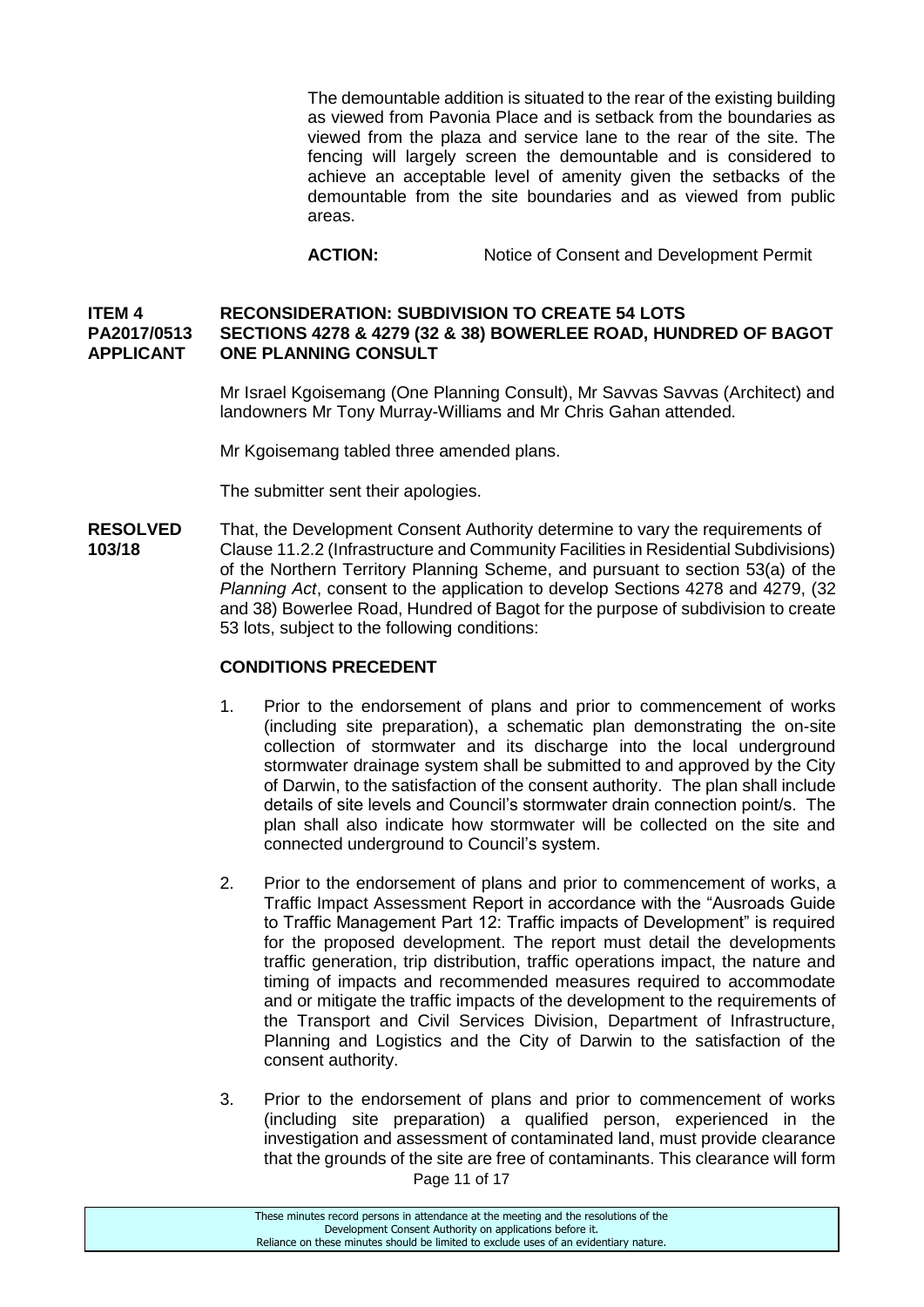The demountable addition is situated to the rear of the existing building as viewed from Pavonia Place and is setback from the boundaries as viewed from the plaza and service lane to the rear of the site. The fencing will largely screen the demountable and is considered to achieve an acceptable level of amenity given the setbacks of the demountable from the site boundaries and as viewed from public areas.

ACTION: Notice of Consent and Development Permit

## **ITEM 4 RECONSIDERATION: SUBDIVISION TO CREATE 54 LOTS PA2017/0513 SECTIONS 4278 & 4279 (32 & 38) BOWERLEE ROAD, HUNDRED OF BAGOT APPLICANT ONE PLANNING CONSULT**

Mr Israel Kgoisemang (One Planning Consult), Mr Savvas Savvas (Architect) and landowners Mr Tony Murray-Williams and Mr Chris Gahan attended.

Mr Kgoisemang tabled three amended plans.

The submitter sent their apologies.

**RESOLVED** That, the Development Consent Authority determine to vary the requirements of **103/18** Clause 11.2.2 (Infrastructure and Community Facilities in Residential Subdivisions) of the Northern Territory Planning Scheme, and pursuant to section 53(a) of the *Planning Act*, consent to the application to develop Sections 4278 and 4279, (32 and 38) Bowerlee Road, Hundred of Bagot for the purpose of subdivision to create 53 lots, subject to the following conditions:

### **CONDITIONS PRECEDENT**

- 1. Prior to the endorsement of plans and prior to commencement of works (including site preparation), a schematic plan demonstrating the on-site collection of stormwater and its discharge into the local underground stormwater drainage system shall be submitted to and approved by the City of Darwin, to the satisfaction of the consent authority. The plan shall include details of site levels and Council's stormwater drain connection point/s. The plan shall also indicate how stormwater will be collected on the site and connected underground to Council's system.
- 2. Prior to the endorsement of plans and prior to commencement of works, a Traffic Impact Assessment Report in accordance with the "Ausroads Guide to Traffic Management Part 12: Traffic impacts of Development" is required for the proposed development. The report must detail the developments traffic generation, trip distribution, traffic operations impact, the nature and timing of impacts and recommended measures required to accommodate and or mitigate the traffic impacts of the development to the requirements of the Transport and Civil Services Division, Department of Infrastructure, Planning and Logistics and the City of Darwin to the satisfaction of the consent authority.
- Page 11 of 17 3. Prior to the endorsement of plans and prior to commencement of works (including site preparation) a qualified person, experienced in the investigation and assessment of contaminated land, must provide clearance that the grounds of the site are free of contaminants. This clearance will form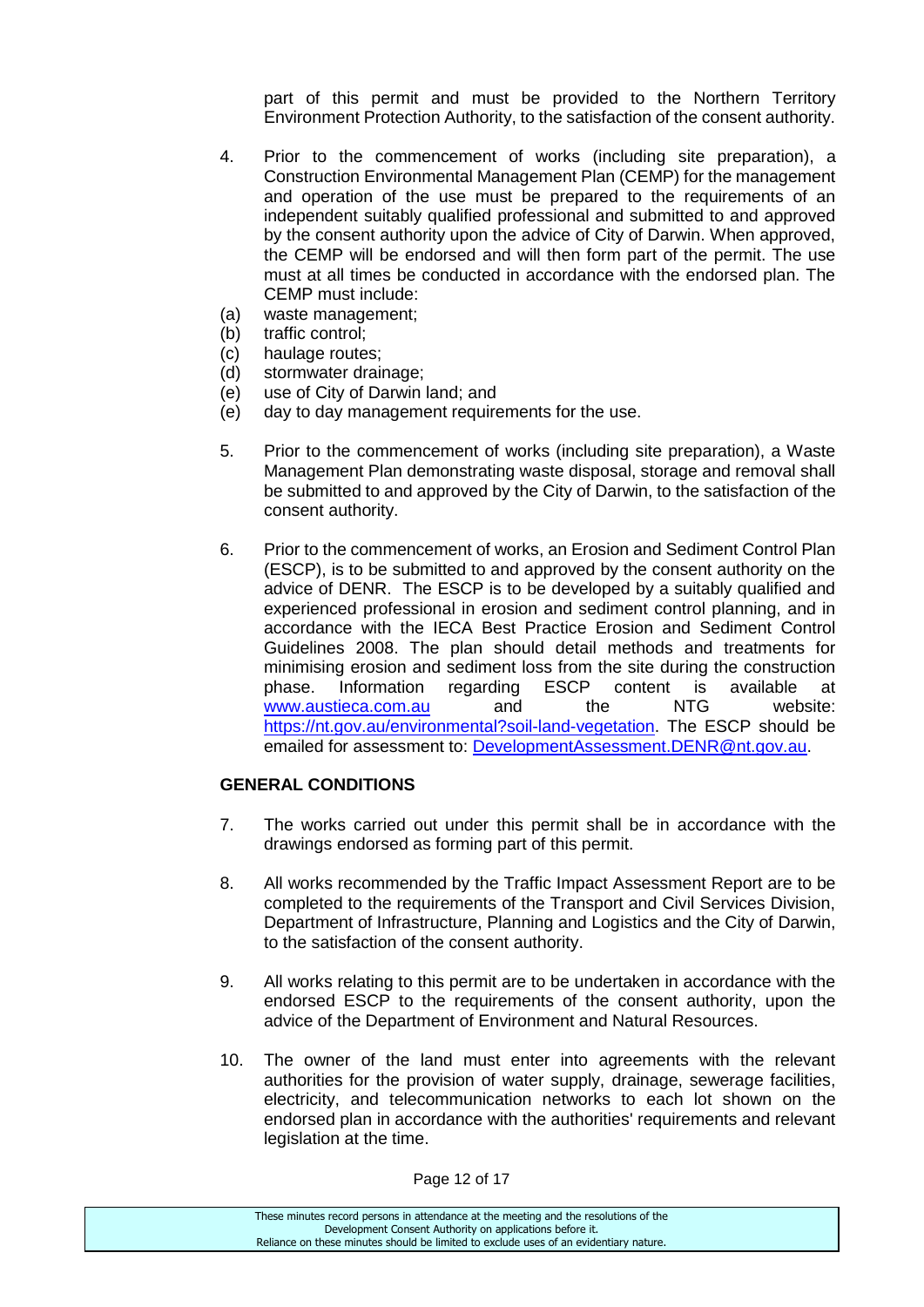part of this permit and must be provided to the Northern Territory Environment Protection Authority, to the satisfaction of the consent authority.

- 4. Prior to the commencement of works (including site preparation), a Construction Environmental Management Plan (CEMP) for the management and operation of the use must be prepared to the requirements of an independent suitably qualified professional and submitted to and approved by the consent authority upon the advice of City of Darwin. When approved, the CEMP will be endorsed and will then form part of the permit. The use must at all times be conducted in accordance with the endorsed plan. The CEMP must include:
- (a) waste management;
- (b) traffic control;
- (c) haulage routes;
- (d) stormwater drainage;
- (e) use of City of Darwin land; and
- (e) day to day management requirements for the use.
- 5. Prior to the commencement of works (including site preparation), a Waste Management Plan demonstrating waste disposal, storage and removal shall be submitted to and approved by the City of Darwin, to the satisfaction of the consent authority.
- 6. Prior to the commencement of works, an Erosion and Sediment Control Plan (ESCP), is to be submitted to and approved by the consent authority on the advice of DENR. The ESCP is to be developed by a suitably qualified and experienced professional in erosion and sediment control planning, and in accordance with the IECA Best Practice Erosion and Sediment Control Guidelines 2008. The plan should detail methods and treatments for minimising erosion and sediment loss from the site during the construction phase. Information regarding ESCP content is available at [www.austieca.com.au](http://www.austieca.com.au/) and the NTG website: [https://nt.gov.au/environmental?soil-land-vegetation.](https://nt.gov.au/environmental?soil-land-vegetation) The ESCP should be emailed for assessment to: [DevelopmentAssessment.DENR@nt.gov.au.](mailto:DevelopmentAssessment.DENR@nt.gov.au)

## **GENERAL CONDITIONS**

- 7. The works carried out under this permit shall be in accordance with the drawings endorsed as forming part of this permit.
- 8. All works recommended by the Traffic Impact Assessment Report are to be completed to the requirements of the Transport and Civil Services Division, Department of Infrastructure, Planning and Logistics and the City of Darwin, to the satisfaction of the consent authority.
- 9. All works relating to this permit are to be undertaken in accordance with the endorsed ESCP to the requirements of the consent authority, upon the advice of the Department of Environment and Natural Resources.
- 10. The owner of the land must enter into agreements with the relevant authorities for the provision of water supply, drainage, sewerage facilities, electricity, and telecommunication networks to each lot shown on the endorsed plan in accordance with the authorities' requirements and relevant legislation at the time.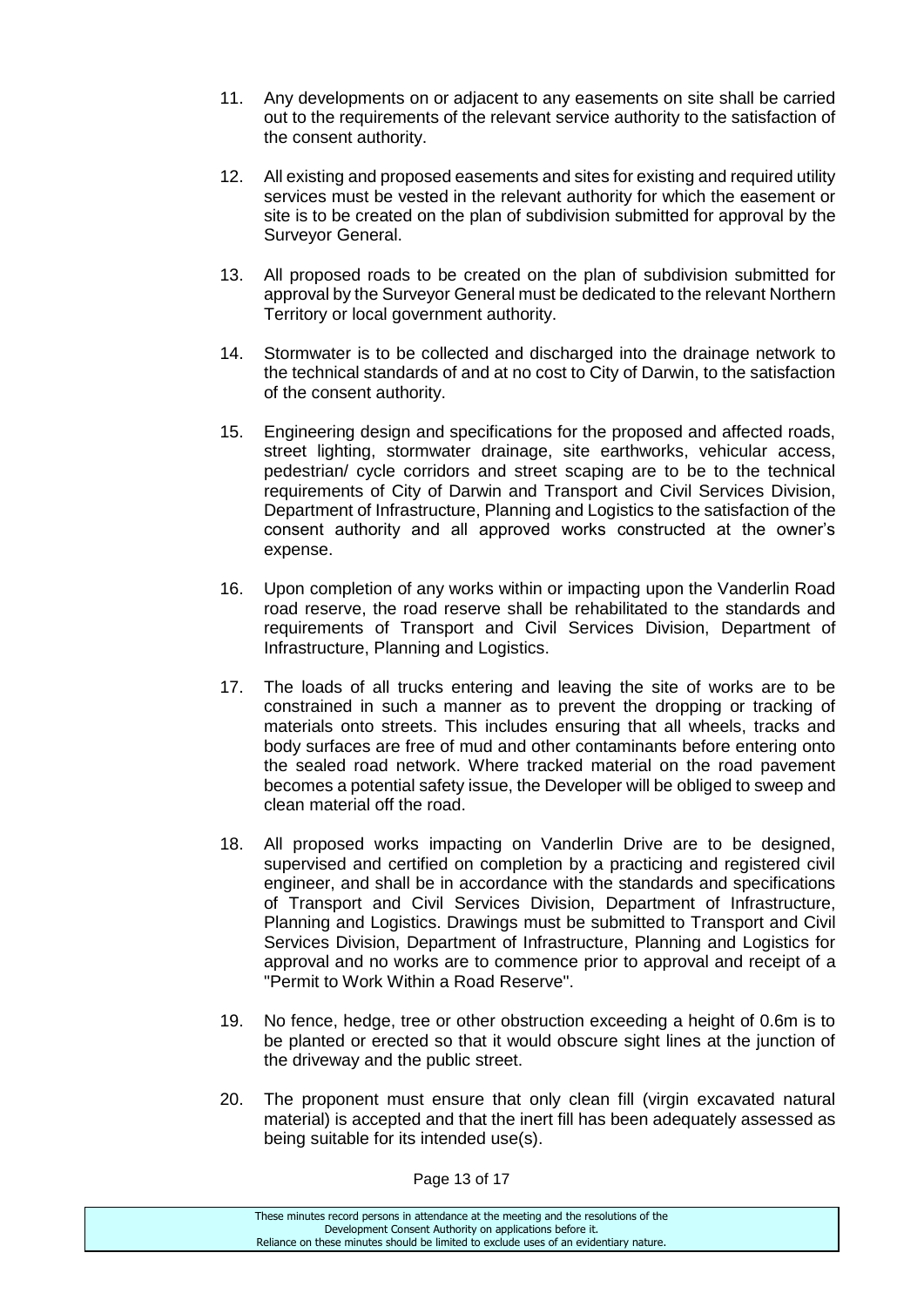- 11. Any developments on or adjacent to any easements on site shall be carried out to the requirements of the relevant service authority to the satisfaction of the consent authority.
- 12. All existing and proposed easements and sites for existing and required utility services must be vested in the relevant authority for which the easement or site is to be created on the plan of subdivision submitted for approval by the Surveyor General.
- 13. All proposed roads to be created on the plan of subdivision submitted for approval by the Surveyor General must be dedicated to the relevant Northern Territory or local government authority.
- 14. Stormwater is to be collected and discharged into the drainage network to the technical standards of and at no cost to City of Darwin, to the satisfaction of the consent authority.
- 15. Engineering design and specifications for the proposed and affected roads, street lighting, stormwater drainage, site earthworks, vehicular access, pedestrian/ cycle corridors and street scaping are to be to the technical requirements of City of Darwin and Transport and Civil Services Division, Department of Infrastructure, Planning and Logistics to the satisfaction of the consent authority and all approved works constructed at the owner's expense.
- 16. Upon completion of any works within or impacting upon the Vanderlin Road road reserve, the road reserve shall be rehabilitated to the standards and requirements of Transport and Civil Services Division, Department of Infrastructure, Planning and Logistics.
- 17. The loads of all trucks entering and leaving the site of works are to be constrained in such a manner as to prevent the dropping or tracking of materials onto streets. This includes ensuring that all wheels, tracks and body surfaces are free of mud and other contaminants before entering onto the sealed road network. Where tracked material on the road pavement becomes a potential safety issue, the Developer will be obliged to sweep and clean material off the road.
- 18. All proposed works impacting on Vanderlin Drive are to be designed, supervised and certified on completion by a practicing and registered civil engineer, and shall be in accordance with the standards and specifications of Transport and Civil Services Division, Department of Infrastructure, Planning and Logistics. Drawings must be submitted to Transport and Civil Services Division, Department of Infrastructure, Planning and Logistics for approval and no works are to commence prior to approval and receipt of a "Permit to Work Within a Road Reserve".
- 19. No fence, hedge, tree or other obstruction exceeding a height of 0.6m is to be planted or erected so that it would obscure sight lines at the junction of the driveway and the public street.
- 20. The proponent must ensure that only clean fill (virgin excavated natural material) is accepted and that the inert fill has been adequately assessed as being suitable for its intended use(s).

Page 13 of 17

These minutes record persons in attendance at the meeting and the resolutions of the Development Consent Authority on applications before it. Reliance on these minutes should be limited to exclude uses of an evidentiary nature.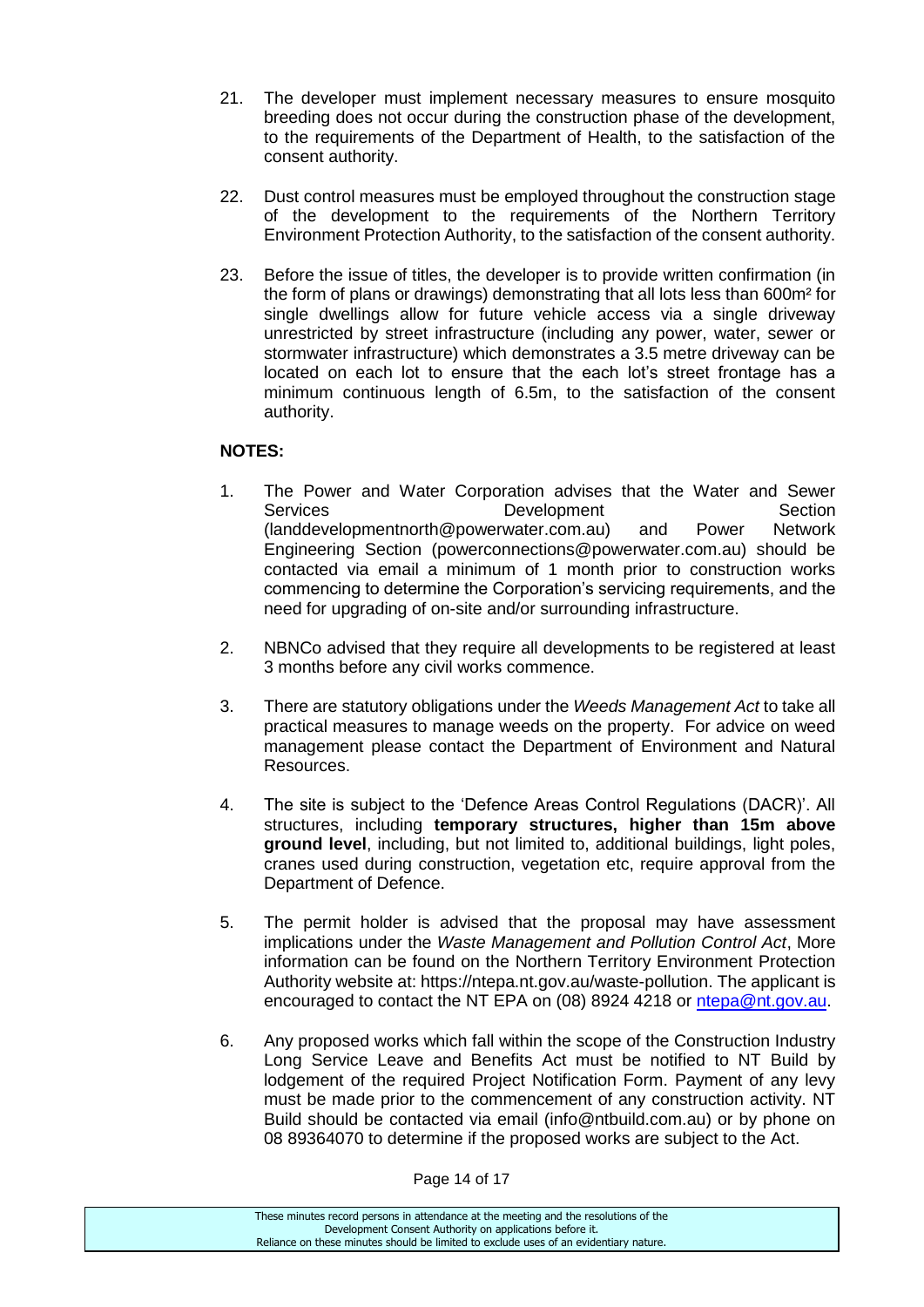- 21. The developer must implement necessary measures to ensure mosquito breeding does not occur during the construction phase of the development, to the requirements of the Department of Health, to the satisfaction of the consent authority.
- 22. Dust control measures must be employed throughout the construction stage of the development to the requirements of the Northern Territory Environment Protection Authority, to the satisfaction of the consent authority.
- 23. Before the issue of titles, the developer is to provide written confirmation (in the form of plans or drawings) demonstrating that all lots less than 600m² for single dwellings allow for future vehicle access via a single driveway unrestricted by street infrastructure (including any power, water, sewer or stormwater infrastructure) which demonstrates a 3.5 metre driveway can be located on each lot to ensure that the each lot's street frontage has a minimum continuous length of 6.5m, to the satisfaction of the consent authority.

## **NOTES:**

- 1. The Power and Water Corporation advises that the Water and Sewer Services **Development** Section (landdevelopmentnorth@powerwater.com.au) and Power Network Engineering Section (powerconnections@powerwater.com.au) should be contacted via email a minimum of 1 month prior to construction works commencing to determine the Corporation's servicing requirements, and the need for upgrading of on-site and/or surrounding infrastructure.
- 2. NBNCo advised that they require all developments to be registered at least 3 months before any civil works commence.
- 3. There are statutory obligations under the *Weeds Management Act* to take all practical measures to manage weeds on the property. For advice on weed management please contact the Department of Environment and Natural Resources.
- 4. The site is subject to the 'Defence Areas Control Regulations (DACR)'. All structures, including **temporary structures, higher than 15m above ground level**, including, but not limited to, additional buildings, light poles, cranes used during construction, vegetation etc, require approval from the Department of Defence.
- 5. The permit holder is advised that the proposal may have assessment implications under the *Waste Management and Pollution Control Act*, More information can be found on the Northern Territory Environment Protection Authority website at: https://ntepa.nt.gov.au/waste-pollution. The applicant is encouraged to contact the NT EPA on (08) 8924 4218 or [ntepa@nt.gov.au.](mailto:ntepa@nt.gov.au)
- 6. Any proposed works which fall within the scope of the Construction Industry Long Service Leave and Benefits Act must be notified to NT Build by lodgement of the required Project Notification Form. Payment of any levy must be made prior to the commencement of any construction activity. NT Build should be contacted via email (info@ntbuild.com.au) or by phone on 08 89364070 to determine if the proposed works are subject to the Act.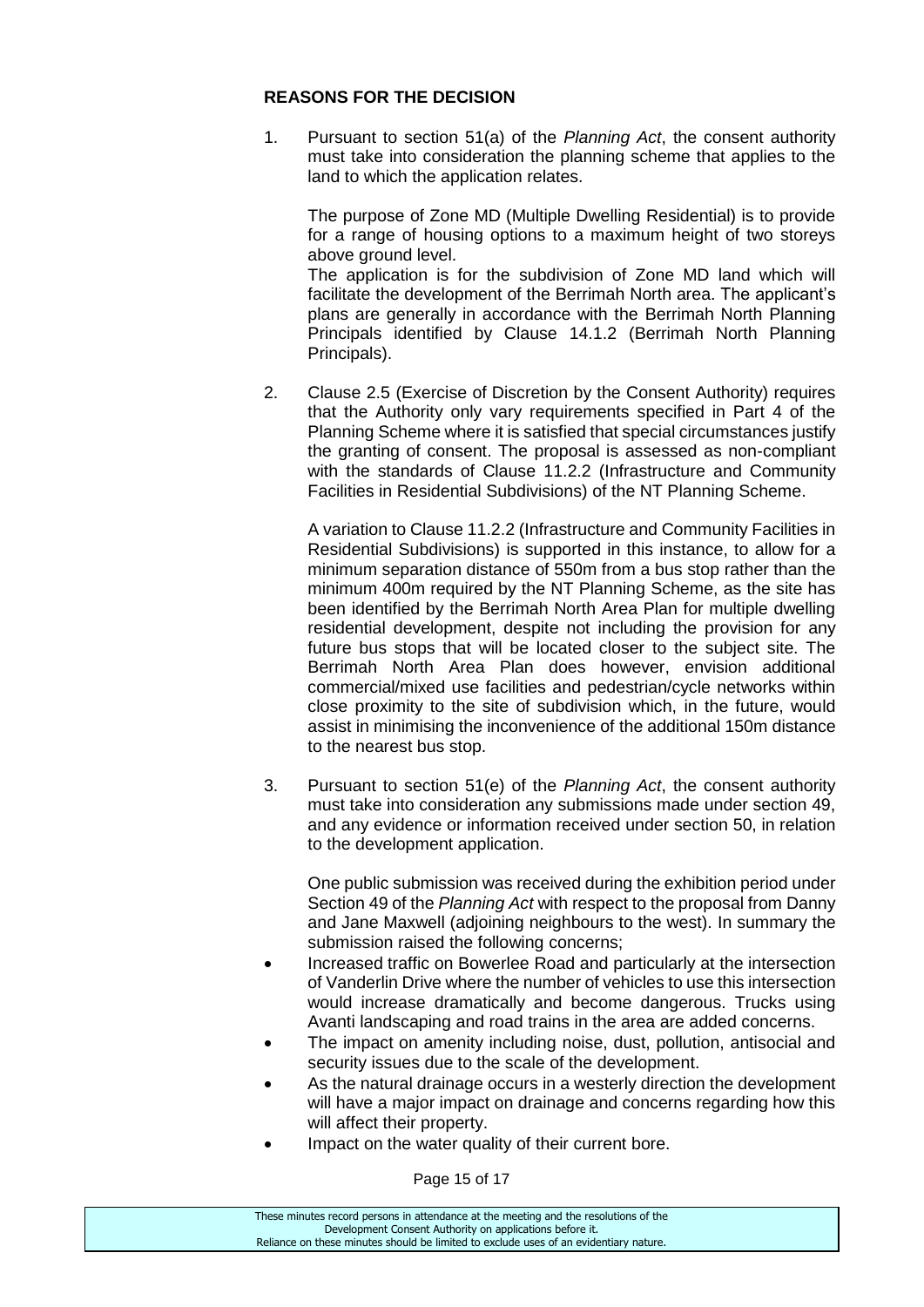## **REASONS FOR THE DECISION**

1. Pursuant to section 51(a) of the *Planning Act*, the consent authority must take into consideration the planning scheme that applies to the land to which the application relates.

The purpose of Zone MD (Multiple Dwelling Residential) is to provide for a range of housing options to a maximum height of two storeys above ground level. The application is for the subdivision of Zone MD land which will facilitate the development of the Berrimah North area. The applicant's plans are generally in accordance with the Berrimah North Planning Principals identified by Clause 14.1.2 (Berrimah North Planning Principals).

2. Clause 2.5 (Exercise of Discretion by the Consent Authority) requires that the Authority only vary requirements specified in Part 4 of the Planning Scheme where it is satisfied that special circumstances justify the granting of consent. The proposal is assessed as non-compliant with the standards of Clause 11.2.2 (Infrastructure and Community Facilities in Residential Subdivisions) of the NT Planning Scheme.

A variation to Clause 11.2.2 (Infrastructure and Community Facilities in Residential Subdivisions) is supported in this instance, to allow for a minimum separation distance of 550m from a bus stop rather than the minimum 400m required by the NT Planning Scheme, as the site has been identified by the Berrimah North Area Plan for multiple dwelling residential development, despite not including the provision for any future bus stops that will be located closer to the subject site. The Berrimah North Area Plan does however, envision additional commercial/mixed use facilities and pedestrian/cycle networks within close proximity to the site of subdivision which, in the future, would assist in minimising the inconvenience of the additional 150m distance to the nearest bus stop.

3. Pursuant to section 51(e) of the *Planning Act*, the consent authority must take into consideration any submissions made under section 49, and any evidence or information received under section 50, in relation to the development application.

One public submission was received during the exhibition period under Section 49 of the *Planning Act* with respect to the proposal from Danny and Jane Maxwell (adjoining neighbours to the west). In summary the submission raised the following concerns;

- Increased traffic on Bowerlee Road and particularly at the intersection of Vanderlin Drive where the number of vehicles to use this intersection would increase dramatically and become dangerous. Trucks using Avanti landscaping and road trains in the area are added concerns.
- The impact on amenity including noise, dust, pollution, antisocial and security issues due to the scale of the development.
- As the natural drainage occurs in a westerly direction the development will have a major impact on drainage and concerns regarding how this will affect their property.
- Impact on the water quality of their current bore.

Page 15 of 17

| These minutes record persons in attendance at the meeting and the resolutions of the  |
|---------------------------------------------------------------------------------------|
| Development Consent Authority on applications before it.                              |
| Reliance on these minutes should be limited to exclude uses of an evidentiary nature. |
|                                                                                       |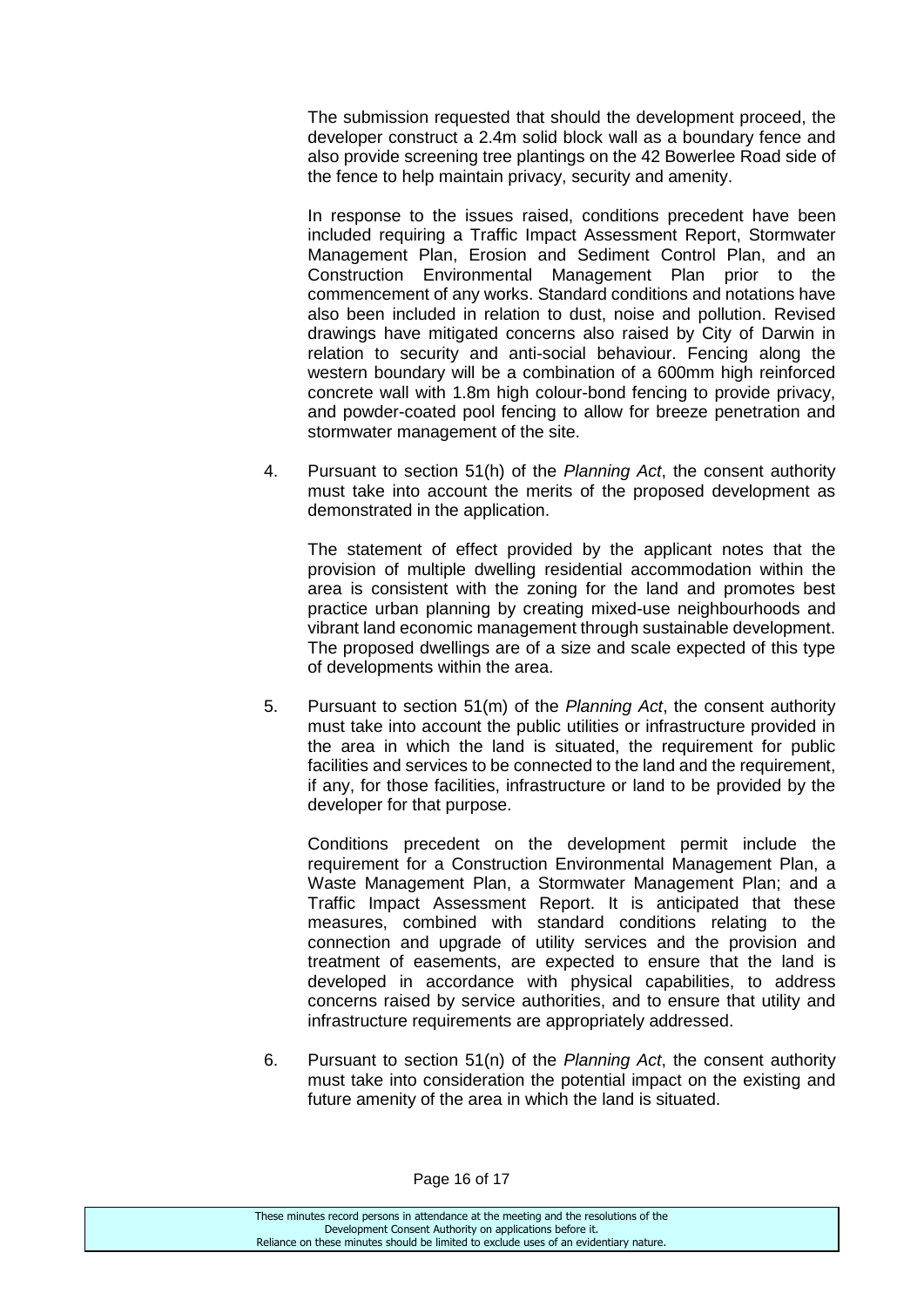The submission requested that should the development proceed, the developer construct a 2.4m solid block wall as a boundary fence and also provide screening tree plantings on the 42 Bowerlee Road side of the fence to help maintain privacy, security and amenity.

In response to the issues raised, conditions precedent have been included requiring a Traffic Impact Assessment Report, Stormwater Management Plan, Erosion and Sediment Control Plan, and an Construction Environmental Management Plan prior to the commencement of any works. Standard conditions and notations have also been included in relation to dust, noise and pollution. Revised drawings have mitigated concerns also raised by City of Darwin in relation to security and anti-social behaviour. Fencing along the western boundary will be a combination of a 600mm high reinforced concrete wall with 1.8m high colour-bond fencing to provide privacy, and powder-coated pool fencing to allow for breeze penetration and stormwater management of the site.

4. Pursuant to section 51(h) of the *Planning Act*, the consent authority must take into account the merits of the proposed development as demonstrated in the application.

The statement of effect provided by the applicant notes that the provision of multiple dwelling residential accommodation within the area is consistent with the zoning for the land and promotes best practice urban planning by creating mixed-use neighbourhoods and vibrant land economic management through sustainable development. The proposed dwellings are of a size and scale expected of this type of developments within the area.

5. Pursuant to section 51(m) of the *Planning Act*, the consent authority must take into account the public utilities or infrastructure provided in the area in which the land is situated, the requirement for public facilities and services to be connected to the land and the requirement, if any, for those facilities, infrastructure or land to be provided by the developer for that purpose.

Conditions precedent on the development permit include the requirement for a Construction Environmental Management Plan, a Waste Management Plan, a Stormwater Management Plan; and a Traffic Impact Assessment Report. It is anticipated that these measures, combined with standard conditions relating to the connection and upgrade of utility services and the provision and treatment of easements, are expected to ensure that the land is developed in accordance with physical capabilities, to address concerns raised by service authorities, and to ensure that utility and infrastructure requirements are appropriately addressed.

6. Pursuant to section 51(n) of the *Planning Act*, the consent authority must take into consideration the potential impact on the existing and future amenity of the area in which the land is situated.